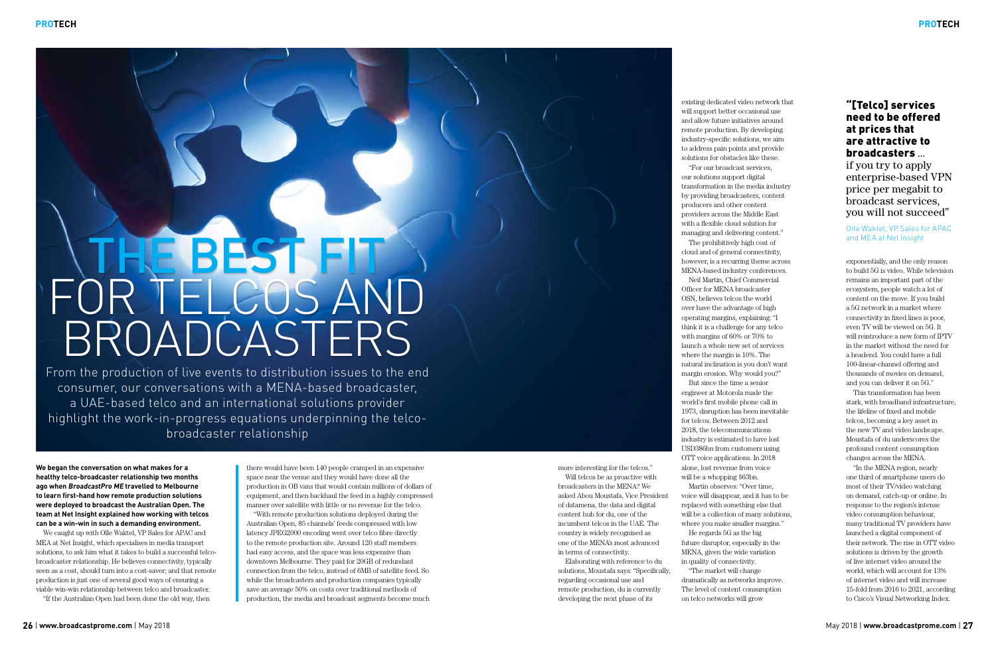**We began the conversation on what makes for a healthy telco-broadcaster relationship two months ago when BroadcastPro ME travelled to Melbourne to learn first-hand how remote production solutions were deployed to broadcast the Australian Open. The team at Net Insight explained how working with telcos can be a win-win in such a demanding environment.**

We caught up with Olle Waktel, VP Sales for APAC and MEA at Net Insight, which specialises in media transport solutions, to ask him what it takes to build a successful telcobroadcaster relationship. He believes connectivity, typically seen as a cost, should turn into a cost-saver; and that remote production is just one of several good ways of ensuring a viable win-win relationship between telco and broadcaster.

"If the Australian Open had been done the old way, then

there would have been 140 people cramped in an expensive space near the venue and they would have done all the production in OB vans that would contain millions of dollars of equipment, and then backhaul the feed in a highly compressed manner over satellite with little or no revenue for the telco.

# THE BEST FIT For tElcos ANd broAdcAstErs

"With remote production solutions deployed during the Australian Open, 85 channels' feeds compressed with low latency JPEG2000 encoding went over telco fibre directly to the remote production site. Around 120 staff members had easy access, and the space was less expensive than downtown Melbourne. They paid for 20GB of redundant connection from the telco, instead of 6MB of satellite feed. So while the broadcasters and production companies typically save an average 50% on costs over traditional methods of production, the media and broadcast segments become much

From the production of live events to distribution issues to the end consumer, our conversations with a MENA-based broadcaster, a UAE-based telco and an international solutions provider highlight the work-in-progress equations underpinning the telcobroadcaster relationship

more interesting for the telcos." Will telcos be as proactive with broadcasters in the MENA? We asked Abou Moustafa, Vice President of datamena, the data and digital content hub for du, one of the incumbent telcos in the UAE. The country is widely recognised as one of the MENA's most advanced in terms of connectivity.

Elaborating with reference to du solutions, Moustafa says: "Specifically, regarding occasional use and remote production, du is currently developing the next phase of its

existing dedicated video network that will support better occasional use and allow future initiatives around remote production. By developing industry-specific solutions, we aim to address pain points and provide solutions for obstacles like these. our solutions support digital transformation in the media industry by providing broadcasters, content producers and other content providers across the Middle East with a flexible cloud solution for managing and delivering content." cloud and of general connectivity, MENA-based industry conferences. Officer for MENA broadcaster OSN, believes telcos the world over have the advantage of high operating margins, explaining: "I think it is a challenge for any telco with margins of 60% or 70% to launch a whole new set of services where the margin is 10%. The natural inclination is you don't want engineer at Motorola made the world's first mobile phone call in 1973, disruption has been inevitable for telcos. Between 2012 and 2018, the telecommunications industry is estimated to have lost USD386bn from customers using OTT voice applications. In 2018 alone, lost revenue from voice will be a whopping \$63bn. voice will disappear, and it has to be replaced with something else that will be a collection of many solutions, where you make smaller margins." future disruptor, especially in the MENA, given the wide variation

"For our broadcast services, The prohibitively high cost of Neil Martin, Chief Commercial But since the time a senior Martin observes: "Over time, He regards 5G as the big

however, is a recurring theme across margin erosion. Why would you?" in quality of connectivity.

"The market will change dramatically as networks improve. The level of content consumption on telco networks will grow

exponentially, and the only reason to build 5G is video. While television remains an important part of the ecosystem, people watch a lot of content on the move. If you build a 5G network in a market where connectivity in fixed lines is poor, even TV will be viewed on 5G. It will reintroduce a new form of IPTV in the market without the need for a headend. You could have a full 100-linear-channel offering and thousands of movies on demand, and you can deliver it on 5G."

This transformation has been stark, with broadband infrastructure, the lifeline of fixed and mobile telcos, becoming a key asset in the new TV and video landscape. Moustafa of du underscores the profound content consumption changes across the MENA.

"In the MENA region, nearly one third of smartphone users do most of their TV/video watching on demand, catch-up or online. In response to the region's intense video consumption behaviour, many traditional TV providers have launched a digital component of their network. The rise in OTT video solutions is driven by the growth of live internet video around the world, which will account for 13% of internet video and will increase 15-fold from 2016 to 2021, according to Cisco's Visual Networking Index.

## "[Telco] services need to be offered at prices that are attractive to broadcasters ... if you try to apply

enterprise-based VPN price per megabit to broadcast services, you will not succeed"

#### olle Waktel, VP sales for APAc and MEA at Net Insight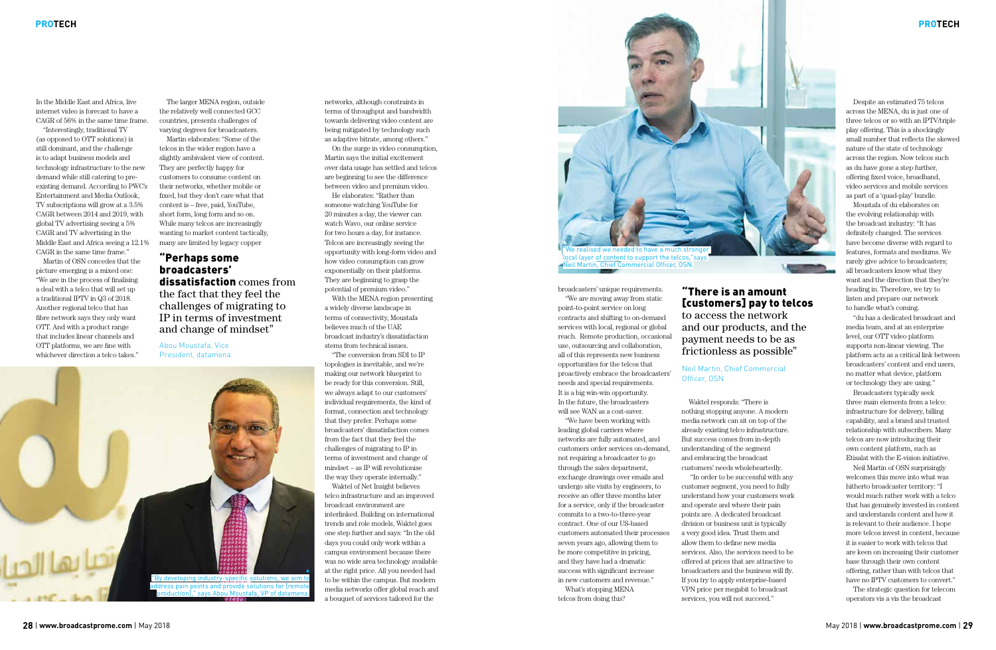In the Middle East and Africa, live internet video is forecast to have a CAGR of 56% in the same time frame.

"Interestingly, traditional TV (as opposed to OTT solutions) is still dominant, and the challenge is to adapt business models and technology infrastructure to the new demand while still catering to preexisting demand. According to PWC's Entertainment and Media Outlook, TV subscriptions will grow at a 3.5% CAGR between 2014 and 2019, with global TV advertising seeing a 5% CAGR and TV advertising in the Middle East and Africa seeing a 12.1% CAGR in the same time frame."

Martin of OSN concedes that the picture emerging is a mixed one: "We are in the process of finalising a deal with a telco that will set up a traditional IPTV in Q3 of 2018. Another regional telco that has fibre network says they only want OTT. And with a product range that includes linear channels and OTT platforms, we are fine with whichever direction a telco takes."

The larger MENA region, outside the relatively well connected GCC countries, presents challenges of varying degrees for broadcasters.

Martin elaborates: "Some of the telcos in the wider region have a slightly ambivalent view of content. They are perfectly happy for customers to consume content on their networks, whether mobile or fixed, but they don't care what that content is – free, paid, YouTube, short form, long form and so on. While many telcos are increasingly wanting to market content tactically, many are limited by legacy copper

networks, although constraints in terms of throughput and bandwidth towards delivering video content are being mitigated by technology such as adaptive bitrate, among others."

On the surge in video consumption, Martin says the initial excitement over data usage has settled and telcos are beginning to see the difference between video and premium video.

He elaborates: "Rather than someone watching YouTube for 20 minutes a day, the viewer can watch Wavo, our online service for two hours a day, for instance. Telcos are increasingly seeing the opportunity with long-form video and how video consumption can grow exponentially on their platforms. They are beginning to grasp the potential of premium video."

With the MENA region presenting a widely diverse landscape in terms of connectivity, Moustafa believes much of the UAE broadcast industry's dissatisfaction stems from technical issues.

"The conversion from SDI to IP topologies is inevitable, and we're making our network blueprint to be ready for this conversion. Still, we always adapt to our customers' individual requirements, the kind of format, connection and technology that they prefer. Perhaps some broadcasters' dissatisfaction comes from the fact that they feel the challenges of migrating to IP in terms of investment and change of mindset – as IP will revolutionise the way they operate internally."

Waktel of Net Insight believes telco infrastructure and an improved broadcast environment are interlinked. Building on international trends and role models, Waktel goes one step further and says: "In the old days you could only work within a campus environment because there was no wide area technology available at the right price. All you needed had to be within the campus. But modern media networks offer global reach and a bouquet of services tailored for the

#### "Perhaps some broadcasters' dissatisfaction comes from the fact that they feel the challenges of migrating to IP in terms of investment and change of mindset"

Abou Moustafa, Vice President, datamena



#### **PROTECH**

"There is an amount [customers] pay to telcos to access the network and our products, and the payment needs to be as frictionless as possible"

#### Neil Martin, chief commercial officer, osN

broadcasters' unique requirements. "We are moving away from static point-to-point service on long contracts and shifting to on-demand services with local, regional or global reach. Remote production, occasional use, outsourcing and collaboration, all of this represents new business opportunities for the telcos that proactively embrace the broadcasters' needs and special requirements. It is a big win-win opportunity. In the future, the broadcasters will see WAN as a cost-saver.

"We have been working with leading global carriers where networks are fully automated, and customers order services on-demand, not requiring a broadcaster to go through the sales department, exchange drawings over emails and undergo site visits by engineers, to receive an offer three months later for a service, only if the broadcaster commits to a two-to-three-year contract. One of our US-based customers automated their processes seven years ago, allowing them to be more competitive in pricing, and they have had a dramatic success with significant increase in new customers and revenue." What's stopping MENA telcos from doing this?

Waktel responds: "There is nothing stopping anyone. A modern media network can sit on top of the already existing telco infrastructure. But success comes from in-depth understanding of the segment and embracing the broadcast customers' needs wholeheartedly. "In order to be successful with any customer segment, you need to fully understand how your customers work and operate and where their pain points are. A dedicated broadcast division or business unit is typically a very good idea. Trust them and allow them to define new media services. Also, the services need to be offered at prices that are attractive to broadcasters and the business will fly. If you try to apply enterprise-based VPN price per megabit to broadcast services, you will not succeed."

Despite an estimated 75 telcos across the MENA, du is just one of three telcos or so with an IPTV/triple play offering. This is a shockingly small number that reflects the skewed nature of the state of technology across the region. Now telcos such as du have gone a step further, offering fixed voice, broadband, video services and mobile services as part of a 'quad-play' bundle.

Moustafa of du elaborates on the evolving relationship with the broadcast industry: "It has definitely changed. The services have become diverse with regard to features, formats and mediums. We rarely give advice to broadcasters; all broadcasters know what they want and the direction that they're heading in. Therefore, we try to listen and prepare our network to handle what's coming.

"du has a dedicated broadcast and media team, and at an enterprise level, our OTT video platform supports non-linear viewing. The platform acts as a critical link between broadcasters' content and end users, no matter what device, platform or technology they are using."

Broadcasters typically seek three main elements from a telco: infrastructure for delivery, billing capability, and a brand and trusted relationship with subscribers. Many telcos are now introducing their own content platform, such as Etisalat with the E-vision initiative.

Neil Martin of OSN surprisingly welcomes this move into what was hitherto broadcaster territory: "I would much rather work with a telco that has genuinely invested in content and understands content and how it is relevant to their audience. I hope more telcos invest in content, because it is easier to work with telcos that are keen on increasing their customer base through their own content offering, rather than with telcos that have no IPTV customers to convert."

The strategic question for telecom operators vis a vis the broadcast